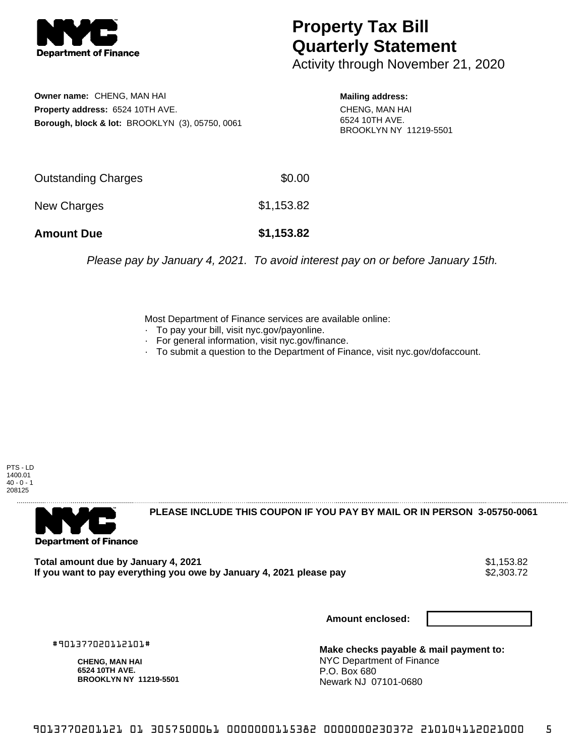

## **Property Tax Bill Quarterly Statement**

Activity through November 21, 2020

**Owner name:** CHENG, MAN HAI **Property address:** 6524 10TH AVE. **Borough, block & lot:** BROOKLYN (3), 05750, 0061

**Mailing address:** CHENG, MAN HAI 6524 10TH AVE. BROOKLYN NY 11219-5501

| <b>Amount Due</b>   | \$1,153.82 |
|---------------------|------------|
| New Charges         | \$1,153.82 |
| Outstanding Charges | \$0.00     |

Please pay by January 4, 2021. To avoid interest pay on or before January 15th.

Most Department of Finance services are available online:

- · To pay your bill, visit nyc.gov/payonline.
- For general information, visit nyc.gov/finance.
- · To submit a question to the Department of Finance, visit nyc.gov/dofaccount.

PTS - LD 1400.01  $40 - 0 - 1$ 208125



**PLEASE INCLUDE THIS COUPON IF YOU PAY BY MAIL OR IN PERSON 3-05750-0061** 

**Total amount due by January 4, 2021**<br>If you want to pay everything you owe by January 4, 2021 please pay **show that the set of the set of the set of** If you want to pay everything you owe by January 4, 2021 please pay

**Amount enclosed:**

#901377020112101#

**CHENG, MAN HAI 6524 10TH AVE. BROOKLYN NY 11219-5501**

**Make checks payable & mail payment to:** NYC Department of Finance P.O. Box 680 Newark NJ 07101-0680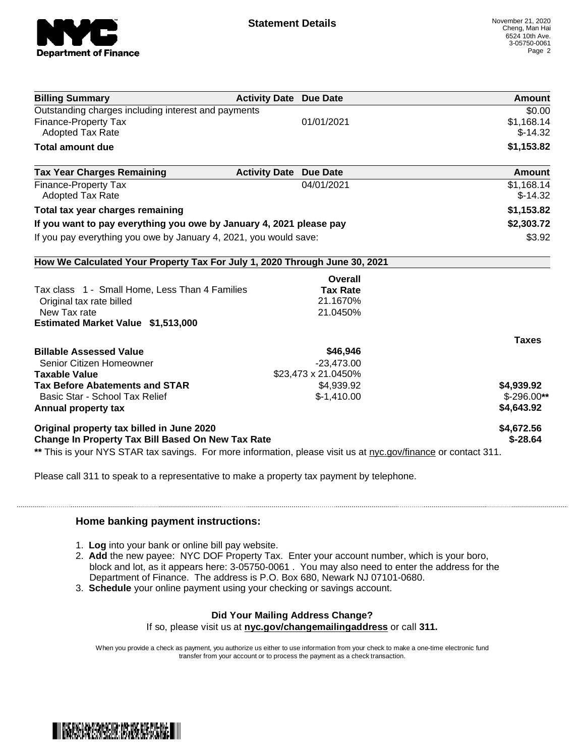

| <b>Billing Summary</b>                                                                                         | <b>Activity Date Due Date</b> |                 | Amount       |
|----------------------------------------------------------------------------------------------------------------|-------------------------------|-----------------|--------------|
| Outstanding charges including interest and payments                                                            |                               |                 | \$0.00       |
| Finance-Property Tax                                                                                           |                               | 01/01/2021      | \$1,168.14   |
| <b>Adopted Tax Rate</b>                                                                                        |                               |                 | $$-14.32$    |
| <b>Total amount due</b>                                                                                        |                               |                 | \$1,153.82   |
| <b>Tax Year Charges Remaining</b>                                                                              | <b>Activity Date</b>          | <b>Due Date</b> | Amount       |
| Finance-Property Tax                                                                                           |                               | 04/01/2021      | \$1,168.14   |
| <b>Adopted Tax Rate</b>                                                                                        |                               |                 | $$-14.32$    |
| Total tax year charges remaining                                                                               |                               |                 | \$1,153.82   |
| If you want to pay everything you owe by January 4, 2021 please pay                                            |                               |                 | \$2,303.72   |
| If you pay everything you owe by January 4, 2021, you would save:                                              |                               | \$3.92          |              |
| How We Calculated Your Property Tax For July 1, 2020 Through June 30, 2021                                     |                               |                 |              |
|                                                                                                                |                               | Overall         |              |
| Tax class 1 - Small Home, Less Than 4 Families                                                                 |                               | <b>Tax Rate</b> |              |
| Original tax rate billed                                                                                       |                               | 21.1670%        |              |
| New Tax rate                                                                                                   |                               | 21.0450%        |              |
| Estimated Market Value \$1,513,000                                                                             |                               |                 |              |
|                                                                                                                |                               |                 | <b>Taxes</b> |
| <b>Billable Assessed Value</b>                                                                                 |                               | \$46,946        |              |
| Senior Citizen Homeowner                                                                                       |                               | $-23,473.00$    |              |
| \$23,473 x 21.0450%<br><b>Taxable Value</b>                                                                    |                               |                 |              |
| <b>Tax Before Abatements and STAR</b>                                                                          |                               | \$4,939.92      | \$4,939.92   |
| Basic Star - School Tax Relief                                                                                 |                               | $$-1,410.00$    | $$-296.00**$ |
| Annual property tax                                                                                            |                               |                 | \$4,643.92   |
| Original property tax billed in June 2020                                                                      |                               |                 | \$4,672.56   |
| <b>Change In Property Tax Bill Based On New Tax Rate</b>                                                       |                               |                 | $$ -28.64$   |
| ** This is your NYS STAR tax savings. For more information, please visit us at nyc.gov/finance or contact 311. |                               |                 |              |

Please call 311 to speak to a representative to make a property tax payment by telephone.

## **Home banking payment instructions:**

- 1. **Log** into your bank or online bill pay website.
- 2. **Add** the new payee: NYC DOF Property Tax. Enter your account number, which is your boro, block and lot, as it appears here: 3-05750-0061 . You may also need to enter the address for the Department of Finance. The address is P.O. Box 680, Newark NJ 07101-0680.
- 3. **Schedule** your online payment using your checking or savings account.

## **Did Your Mailing Address Change?**

If so, please visit us at **nyc.gov/changemailingaddress** or call **311.**

When you provide a check as payment, you authorize us either to use information from your check to make a one-time electronic fund transfer from your account or to process the payment as a check transaction.